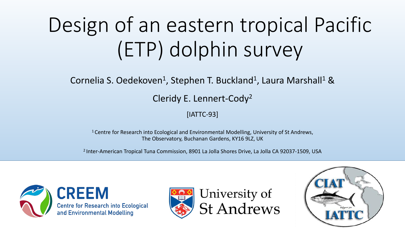# Design of an eastern tropical Pacific (ETP) dolphin survey

Cornelia S. Oedekoven<sup>1</sup>, Stephen T. Buckland<sup>1</sup>, Laura Marshall<sup>1</sup> &

Cleridy E. Lennert-Cody2

[IATTC-93]

<sup>1</sup> Centre for Research into Ecological and Environmental Modelling, University of St Andrews, The Observatory, Buchanan Gardens, KY16 9LZ, UK

2 Inter-American Tropical Tuna Commission, 8901 La Jolla Shores Drive, La Jolla CA 92037-1509, USA





University of **St Andrews** 

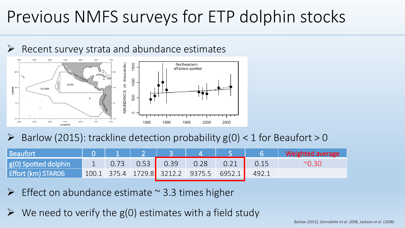## Previous NMFS surveys for ETP dolphin stocks



 $\triangleright$  Barlow (2015): trackline detection probability  $g(0) < 1$  for Beaufort  $> 0$ 

| Beaufort             |  |                                           |      |                                                                        |       | Weighted average |
|----------------------|--|-------------------------------------------|------|------------------------------------------------------------------------|-------|------------------|
| g(0) Spotted dolphin |  | $0.73$ 0.53 0.39                          | 0.28 | $\begin{array}{c} \begin{array}{c} \text{\textend{array}} \end{array}$ | 0.15  | $^{\sim}$ 0.30   |
| Effort (km) STAR06   |  | $100.1$ 375.4 1729.8 3212.2 9375.5 6952.1 |      |                                                                        | 492.1 |                  |

- Effect on abundance estimate  $\sim$  3.3 times higher
- $\triangleright$  We need to verify the g(0) estimates with a field study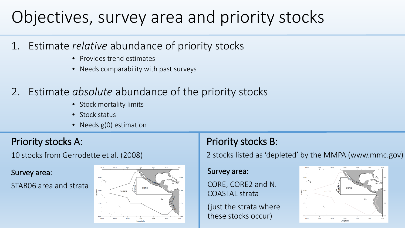## Objectives, survey area and priority stocks

- 1. Estimate *relative* abundance of priority stocks
	- Provides trend estimates
	- Needs comparability with past surveys
- 2. Estimate *absolute* abundance of the priority stocks
	- Stock mortality limits
	- Stock status
	- Needs g(0) estimation

### Priority stocks A:

10 stocks from Gerrodette et al. (2008)

#### Survey area:

STAR06 area and strata



## Priority stocks B:

2 stocks listed as 'depleted' by the MMPA (www.mmc.gov)

#### Survey area:

CORE, CORE2 and N. COASTAL strata

(just the strata where these stocks occur)

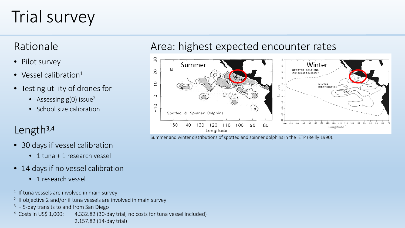## Trial survey

### Rationale

- Pilot survey
- Vessel calibration $1$
- Testing utility of drones for
	- Assessing  $g(0)$  issue<sup>2</sup>
	- School size calibration

### Length3,4

- 30 days if vessel calibration
	- 1 tuna + 1 research vessel
- 14 days if no vessel calibration
	- 1 research vessel
- <sup>1</sup> If tuna vessels are involved in main survey
- <sup>2</sup> If objective 2 and/or if tuna vessels are involved in main survey
- $3 + 5$ -day transits to and from San Diego
- <sup>4</sup> Costs in US\$ 1,000: 4,332.82 (30-day trial, no costs for tuna vessel included) 2,157.82 (14-day trial)

### Area: highest expected encounter rates



Summer and winter distributions of spotted and spinner dolphins in the ETP (Reilly 1990).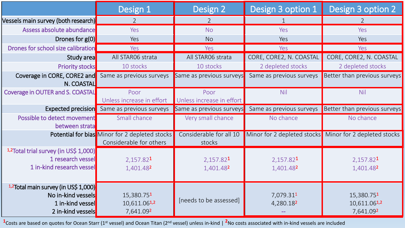|                                                                                                     | Design 1                                                                  | Design 2                           | Design 3 option 1                  | Design 3 option 2                                       |
|-----------------------------------------------------------------------------------------------------|---------------------------------------------------------------------------|------------------------------------|------------------------------------|---------------------------------------------------------|
| Vessels main survey (both research)                                                                 | $\overline{2}$                                                            | $\overline{2}$                     |                                    | 2                                                       |
| Assess absolute abundance                                                                           | Yes                                                                       | <b>No</b>                          | Yes                                | Yes                                                     |
| Drones for $g(0)$                                                                                   | Yes                                                                       | <b>No</b>                          | Yes                                | Yes                                                     |
| Drones for school size calibration                                                                  | Yes                                                                       | Yes                                | Yes                                | Yes                                                     |
| Study area                                                                                          | All STAR06 strata                                                         | All STAR06 strata                  | CORE, CORE2, N. COASTAL            | CORE, CORE2, N. COASTAL                                 |
| <b>Priority stocks</b>                                                                              | 10 stocks                                                                 | 10 stocks                          | 2 depleted stocks                  | 2 depleted stocks                                       |
| Coverage in CORE, CORE2 and<br>N. COASTAL                                                           | Same as previous surveys                                                  | Same as previous surveys           | Same as previous surveys           | Better than previous surveys                            |
| Coverage in OUTER and S. COASTAL                                                                    | Poor<br>Unless increase in effort                                         | Poor<br>Unless increase in effort  | <b>Nil</b>                         | Nil                                                     |
| <b>Expected precision</b>                                                                           | Same as previous surveys                                                  | Same as previous surveys           | Same as previous surveys           | Better than previous surveys                            |
| Possible to detect movement<br>between strata                                                       | Small chance                                                              | Very small chance                  | No chance                          | No chance                                               |
|                                                                                                     | Potential for bias Minor for 2 depleted stocks<br>Considerable for others | Considerable for all 10<br>stocks  |                                    | Minor for 2 depleted stocks Minor for 2 depleted stocks |
| 1,2Total trial survey (in US\$ 1,000)<br>1 research vessel<br>1 in-kind research vessel             | 2,157.82 <sup>1</sup><br>1,401.482                                        | 2,157.82 <sup>1</sup><br>1,401.482 | 2,157.82 <sup>1</sup><br>1,401.482 | 2,157.82 <sup>1</sup><br>1,401.482                      |
| 1,2Total main survey (in US\$ 1,000)<br>No in-kind vessels<br>1 in-kind vessel<br>2 in-kind vessels | 15,380.751<br>10,611.061,2<br>7,641.092                                   | [needs to be assessed]             | 7,079.311<br>4,280.182             | 15,380.751<br>10,611.061,2<br>7,641.092                 |

<sup>1</sup>Costs are based on quotes for Ocean Starr (1<sup>st</sup> vessel) and Ocean Titan (2<sup>nd</sup> vessel) unless in-kind | <sup>2</sup>No costs associated with in-kind vessels are included